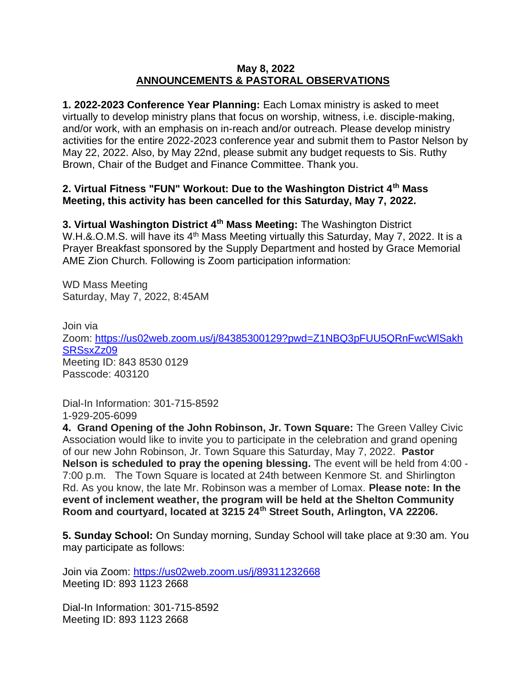## **May 8, 2022 ANNOUNCEMENTS & PASTORAL OBSERVATIONS**

**1. 2022-2023 Conference Year Planning:** Each Lomax ministry is asked to meet virtually to develop ministry plans that focus on worship, witness, i.e. disciple-making, and/or work, with an emphasis on in-reach and/or outreach. Please develop ministry activities for the entire 2022-2023 conference year and submit them to Pastor Nelson by May 22, 2022. Also, by May 22nd, please submit any budget requests to Sis. Ruthy Brown, Chair of the Budget and Finance Committee. Thank you.

## **2. Virtual Fitness "FUN" Workout: Due to the Washington District 4th Mass Meeting, this activity has been cancelled for this Saturday, May 7, 2022.**

**3. Virtual Washington District 4th Mass Meeting:** The Washington District W.H.&.O.M.S. will have its 4<sup>th</sup> Mass Meeting virtually this Saturday, May 7, 2022. It is a Prayer Breakfast sponsored by the Supply Department and hosted by Grace Memorial AME Zion Church. Following is Zoom participation information:

WD Mass Meeting Saturday, May 7, 2022, 8:45AM

Join via Zoom: [https://us02web.zoom.us/j/84385300129?pwd=Z1NBQ3pFUU5QRnFwcWlSakh](https://nam12.safelinks.protection.outlook.com/?url=https%3A%2F%2Fus02web.zoom.us%2Fj%2F84385300129%3Fpwd%3DZ1NBQ3pFUU5QRnFwcWlSakhSRSsxZz09&data=05%7C01%7C%7Cb5955cc0b9df4e01527d08da2f0299dd%7C84df9e7fe9f640afb435aaaaaaaaaaaa%7C1%7C0%7C637873985476652519%7CUnknown%7CTWFpbGZsb3d8eyJWIjoiMC4wLjAwMDAiLCJQIjoiV2luMzIiLCJBTiI6Ik1haWwiLCJXVCI6Mn0%3D%7C3000%7C%7C%7C&sdata=vyxdBaPaIcc%2FKUPy2n6hLl8EpcW89bUtbgM4TvcRth0%3D&reserved=0) [SRSsxZz09](https://nam12.safelinks.protection.outlook.com/?url=https%3A%2F%2Fus02web.zoom.us%2Fj%2F84385300129%3Fpwd%3DZ1NBQ3pFUU5QRnFwcWlSakhSRSsxZz09&data=05%7C01%7C%7Cb5955cc0b9df4e01527d08da2f0299dd%7C84df9e7fe9f640afb435aaaaaaaaaaaa%7C1%7C0%7C637873985476652519%7CUnknown%7CTWFpbGZsb3d8eyJWIjoiMC4wLjAwMDAiLCJQIjoiV2luMzIiLCJBTiI6Ik1haWwiLCJXVCI6Mn0%3D%7C3000%7C%7C%7C&sdata=vyxdBaPaIcc%2FKUPy2n6hLl8EpcW89bUtbgM4TvcRth0%3D&reserved=0) Meeting ID: 843 8530 0129 Passcode: 403120

Dial-In Information: 301-715-8592 1-929-205-6099

**4. Grand Opening of the John Robinson, Jr. Town Square:** The Green Valley Civic Association would like to invite you to participate in the celebration and grand opening of our new John Robinson, Jr. Town Square this Saturday, May 7, 2022. **Pastor Nelson is scheduled to pray the opening blessing.** The event will be held from 4:00 - 7:00 p.m. The Town Square is located at 24th between Kenmore St. and Shirlington Rd. As you know, the late Mr. Robinson was a member of Lomax. **Please note: In the event of inclement weather, the program will be held at the Shelton Community Room and courtyard, located at 3215 24th Street South, Arlington, VA 22206.**

**5. Sunday School:** On Sunday morning, Sunday School will take place at 9:30 am. You may participate as follows:

Join via Zoom: [https://us02web.zoom.us/j/89311232668](https://nam12.safelinks.protection.outlook.com/?url=https%3A%2F%2Fus02web.zoom.us%2Fj%2F89311232668&data=05%7C01%7C%7C8714deb1965945c5f4ee08da24a374a5%7C84df9e7fe9f640afb435aaaaaaaaaaaa%7C1%7C0%7C637862582633681611%7CUnknown%7CTWFpbGZsb3d8eyJWIjoiMC4wLjAwMDAiLCJQIjoiV2luMzIiLCJBTiI6Ik1haWwiLCJXVCI6Mn0%3D%7C3000%7C%7C%7C&sdata=D7zci727cCnw8JHoblnpgMx8Ny63mTTDEJa%2BSeJ64%2FE%3D&reserved=0) Meeting ID: 893 1123 2668

Dial-In Information: 301-715-8592 Meeting ID: 893 1123 2668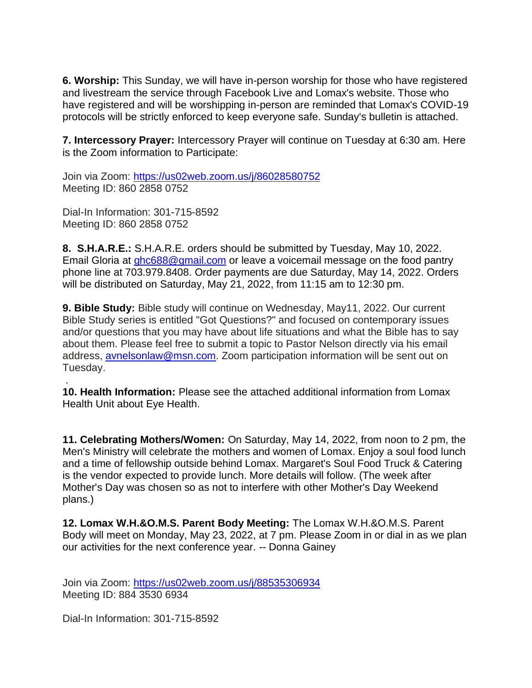**6. Worship:** This Sunday, we will have in-person worship for those who have registered and livestream the service through Facebook Live and Lomax's website. Those who have registered and will be worshipping in-person are reminded that Lomax's COVID-19 protocols will be strictly enforced to keep everyone safe. Sunday's bulletin is attached.

**7. Intercessory Prayer:** Intercessory Prayer will continue on Tuesday at 6:30 am. Here is the Zoom information to Participate:

Join via Zoom: [https://us02web.zoom.us/j/86028580752](https://nam12.safelinks.protection.outlook.com/?url=https%3A%2F%2Fus02web.zoom.us%2Fj%2F86028580752&data=05%7C01%7C%7C8714deb1965945c5f4ee08da24a374a5%7C84df9e7fe9f640afb435aaaaaaaaaaaa%7C1%7C0%7C637862582633681611%7CUnknown%7CTWFpbGZsb3d8eyJWIjoiMC4wLjAwMDAiLCJQIjoiV2luMzIiLCJBTiI6Ik1haWwiLCJXVCI6Mn0%3D%7C3000%7C%7C%7C&sdata=M6hlbwTsBXlaHHzuI2VYO7h1qGfzM1nL%2BBkOxg0V4Ls%3D&reserved=0) Meeting ID: 860 2858 0752

Dial-In Information: 301-715-8592 Meeting ID: 860 2858 0752

**8. S.H.A.R.E.:** S.H.A.R.E. orders should be submitted by Tuesday, May 10, 2022. Email Gloria at [ghc688@gmail.com](mailto:ghc688@gmail.com) or leave a voicemail message on the food pantry phone line at 703.979.8408. Order payments are due Saturday, May 14, 2022. Orders will be distributed on Saturday, May 21, 2022, from 11:15 am to 12:30 pm.

**9. Bible Study:** Bible study will continue on Wednesday, May11, 2022. Our current Bible Study series is entitled "Got Questions?" and focused on contemporary issues and/or questions that you may have about life situations and what the Bible has to say about them. Please feel free to submit a topic to Pastor Nelson directly via his email address, [avnelsonlaw@msn.com.](mailto:avnelsonlaw@msn.com) Zoom participation information will be sent out on Tuesday.

. **10. Health Information:** Please see the attached additional information from Lomax Health Unit about Eye Health.

**11. Celebrating Mothers/Women:** On Saturday, May 14, 2022, from noon to 2 pm, the Men's Ministry will celebrate the mothers and women of Lomax. Enjoy a soul food lunch and a time of fellowship outside behind Lomax. Margaret's Soul Food Truck & Catering is the vendor expected to provide lunch. More details will follow. (The week after Mother's Day was chosen so as not to interfere with other Mother's Day Weekend plans.)

**12. Lomax W.H.&O.M.S. Parent Body Meeting:** The Lomax W.H.&O.M.S. Parent Body will meet on Monday, May 23, 2022, at 7 pm. Please Zoom in or dial in as we plan our activities for the next conference year. -- Donna Gainey

Join via Zoom: <https://us02web.zoom.us/j/88535306934> Meeting ID: 884 3530 6934

Dial-In Information: 301-715-8592